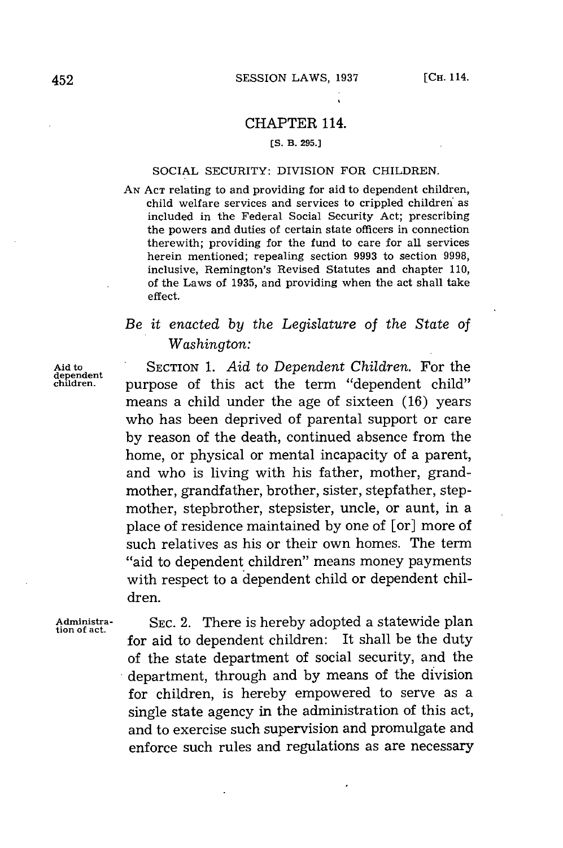### CHAPTER 114.

#### **(S. B. 295.]**

#### SOCIAL SECURITY: DIVISION FOR CHILDREN.

**AN ACT** relating to and providing for aid to dependent children, child welfare services and services to crippled children as included in the Federal Social Security Act; prescribing the powers and duties of certain state officers in connection therewith; providing for the fund to care for all services herein mentioned; repealing section **9993** to section **9998,** inclusive, Remington's Revised Statutes and chapter **110,** of the Laws of **1935,** and providing when the act shall take effect.

# *Be it enacted by the Legislature of the State of Washington:*

**Aid to** SECTION **1.** *Aid to Dependent Children.* For the purpose of this act the term "dependent child" means a child under the age of sixteen **(16)** years who has been deprived of parental support or care **by** reason of the death, continued absence from the home, or physical or mental incapacity of a parent, and who is living with his father, mother, grandmother, grandfather, brother, sister, stepfather, stepmother, stepbrother, stepsister, uncle, or aunt, in a place of residence maintained **by** one of [or] more of such relatives as his or their own homes. The term "aid to dependent children" means money payments with respect to a dependent child or dependent children.

**Adniinistra- SEC.** 2. There is hereby adopted a statewide plan **tion of act.** for aid to dependent children: It shall be the duty of the state department of social security, and the department, through and **by** means of the division for children, is hereby empowered to serve as a single state agency in the administration of this act, and to exercise such supervision and promulgate and enforce such rules and regulations as are necessary

**dependent**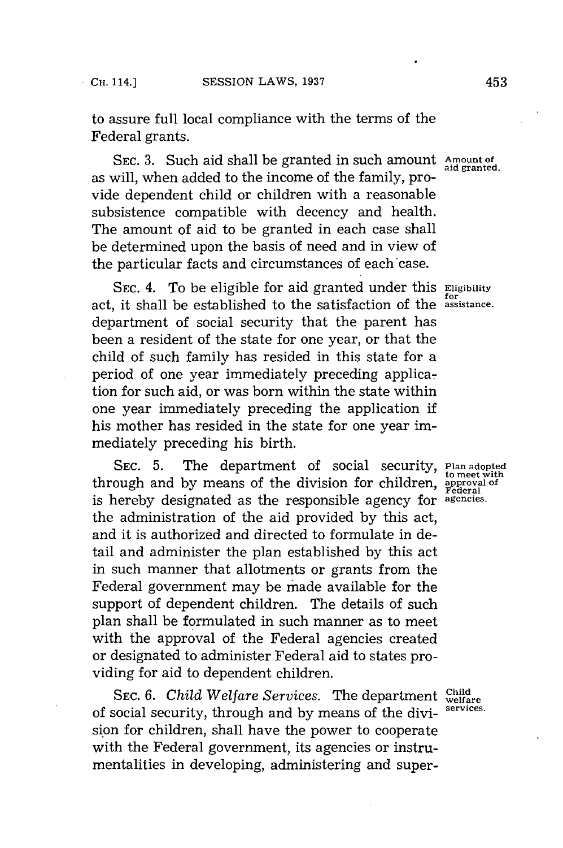to assure full local compliance with the terms of the Federal grants.

**SEC. 3.** Such aid shall be granted in such amount **Amount of aid granted.** as will, when added to the income of the family, provide dependent child or children with a reasonable subsistence compatible with decency and health. The amount of aid to be granted in each case shall be determined upon the basis of need and in view of the particular facts and circumstances of each'case.

**SEC.** 4. To be eligible for aid granted under this **Eligibility for all**  $\overline{f}$   $\overline{f}$  act, it shall be established to the satisfaction of the **assistance** department of social security that the parent has been a resident of the state for one year, or that the child of such family has resided in this state for a period of one year immediately preceding application for such aid, or was born within the state within one year immediately preceding the application if his mother has resided in the state for one year immediately preceding his birth.

**SEC. 5.** The department of social security, **Plan adopted to meet with** through and **by** means of the division for children, **approval of** Federal is hereby designated as the responsible agency for **agencies.** the administration of the aid provided **by** this act, and it is authorized and directed to formulate in detail and administer the plan established **by** this act in such manner that allotments or grants from the Federal government may be made available for the support of dependent children. The details of such plan shall be formulated in such manner as to meet with the approval of the Federal agencies created or designated to administer Federal aid to states providing for aid to dependent children.

**Child Welfare Services. The department**  $\frac{\text{Child}}{\text{weltare}}$ of social security, through and **by** means of the divi- **services.** sion for children, shall have the power to cooperate with the Federal government, its agencies or instrumentalities in developing, administering and super-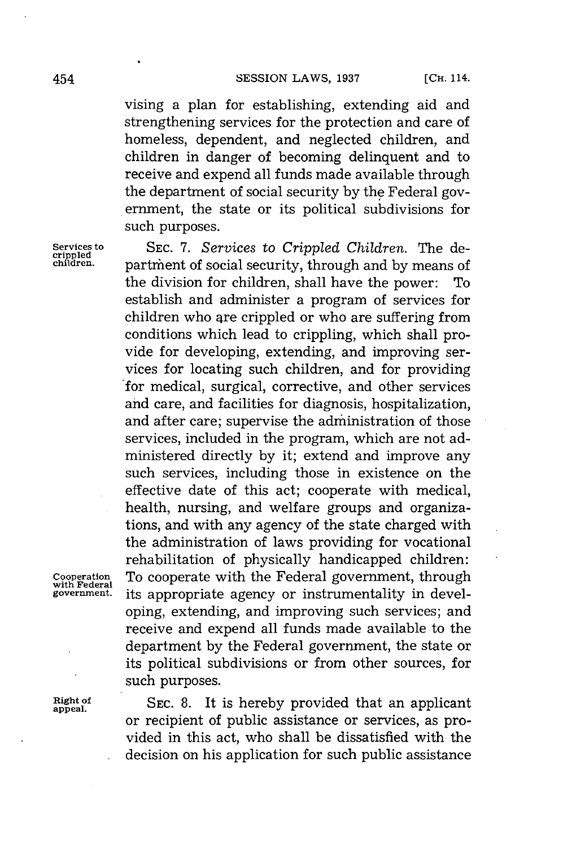vising a plan for establishing, extending aid and strengthening services for the protection and care of homeless, dependent, and neglected children, and children in danger of becoming delinquent and to receive and expend all funds made available through the department of social security **by** the Federal government, the state or its political subdivisions for such purposes.

**Services to SEC. 7.** *Services* to *Crippled Children.* The de- **crippled** partment of social security, through and by means of the division for children, shall have the power: To establish and administer a program of services for children who are crippled or who are suffering from conditions which lead to crippling, which shall provide for developing, extending, and improving services for locating such children, and for providing for medical, surgical, corrective, and other services and care, and facilities for diagnosis, hospitalization, and after care; supervise the administration of those services, included in the program, which are not administered directly **by** it; extend and improve any such services, including those in existence on the effective date of this act; cooperate with medical, health, nursing, and welfare groups and organizations, and with any agency of the state charged with the administration of laws providing for vocational rehabilitation of physically handicapped children: **Cooperation** To cooperate with the Federal government, through **with Federal** its appropriate agency or instrumentality in developing, extending, and improving such services; and receive and expend all funds made available to the department **by** the Federal government, the state or its political subdivisions or from other sources, for such purposes.

Right of SEC. 8. It is hereby provided that an applicant or recipient of public assistance or services, as provided in this act, who shall be dissatisfied with the decision on his application for such public assistance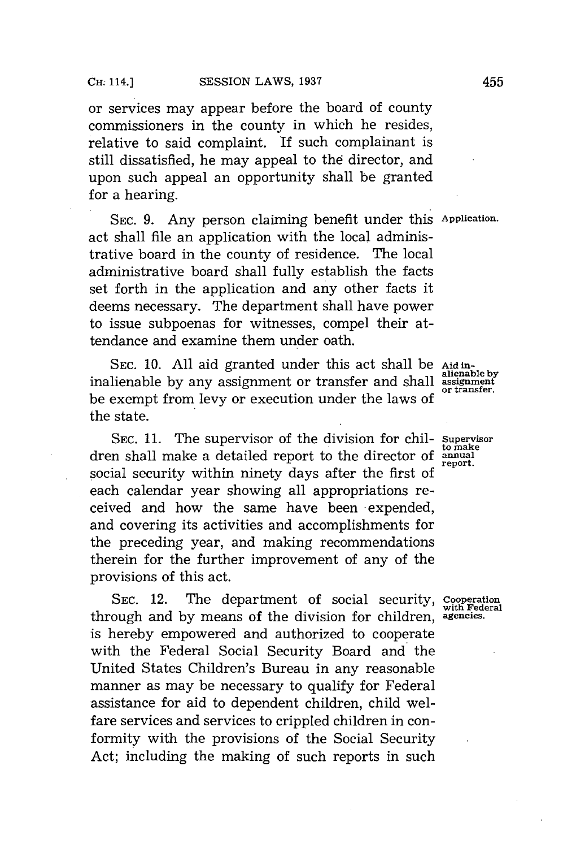or services may appear before the board of county commissioners in the county in which he resides, relative to said complaint. **If** such complainant is still dissatisfied, he may appeal to the director, and upon such appeal an opportunity shall be granted for a hearing.

**SEC. 9.** Any person claiming benefit under this **Application.** act shall file an application with the local administrative board in the county of residence. The local administrative board shall fully establish the facts set forth in the application and any other facts it deems necessary. The department shall have power to issue subpoenas for witnesses, compel their attendance and examine them under oath.

SEC. 10. All aid granted under this act shall be Aid ininalienable by any assignment or transfer and shall assignment be exempt from levy or execution under the laws of the state.

SEC. 11. The supervisor of the division for chil- Supervisor dren shall make a detailed report to the director of **annual** social security within ninety days after the first of each calendar year showing all appropriations received and how the same have been -expended, and covering its activities and accomplishments for the preceding year, and making recommendations therein for the further improvement of any of the provisions of this act.

**SEC.** 12. The department of social security, **cooperation with Federal** through and **by** means of the division for children, **agencies.** is hereby empowered and authorized to cooperate with the Federal Social Security Board and the United States Children's Bureau in any reasonable manner as may be necessary to qualify for Federal assistance for aid to dependent children, child welfare services and services to crippled children in conformity with the provisions of the Social Security Act; including the making of such reports in such

or transfer.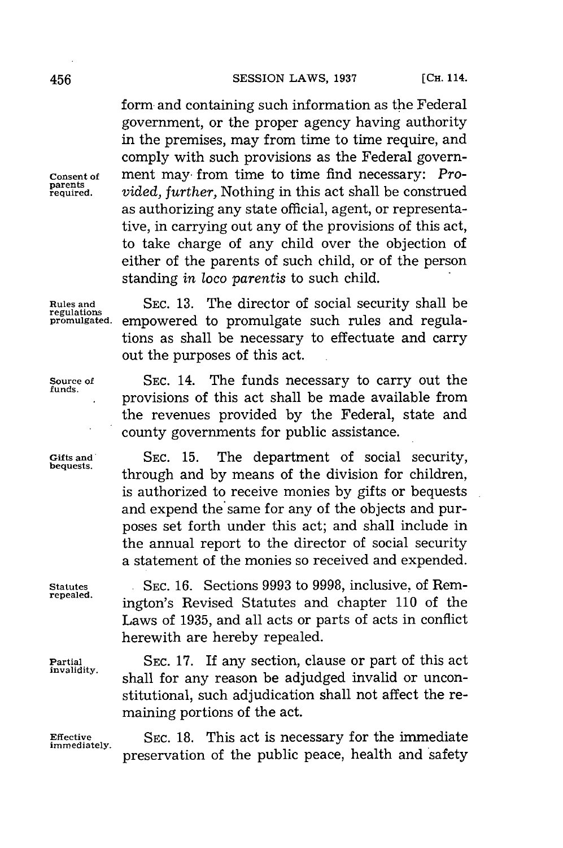form and containing such information as the Federal government, or the proper agency having authority in the premises, may from time to time require, and comply with such provisions as the Federal govern-**Consent of** ment may- from time to time find necessary: *Pro*parents *inded, further,* Nothing in this act shall be construed as authorizing any state official, agent, or representative, in carrying out any of the provisions of this act, to take charge of any child over the objection of either of the parents of such child, or of the person standing *in* loco *parentis* to such child.

**regulations**

**Rules and SEC. 13.** The director of social security shall be empowered to promulgate such rules and regulations as shall be necessary to effectuate and carry out the purposes of this act.

> . provisions of this act shall be made available from the revenues provided **by** the Federal, state and

> **bequests.** through and **by** means of the division for children, is authorized to receive monies **by** gifts or bequests and expend the same for any of the objects and purposes set forth under this act; and shall include in the annual report to the director of social security a statement of the monies so received and expended.

county governments for public assistance.

**Source of SEC.** 14. The funds necessary to carry out the **funds.**

Gifts and SEC. 15. The department of social security,

**Statutes SEC. 16.** Sections **9993** to **9998,** inclusive, of Rem**repealed.** ington's Revised Statutes and chapter **110** of the Laws of **1935,** and all acts or parts of acts in conflict herewith are hereby repealed.

**Partial SEC. 17.** If any section, clause or part of this act invalidity. shall for any reason be adjudged invalid or unconstitutional, such adjudication shall not affect the remaining portions of the act.

**Effective SEC. 18. This act is necessary for the immediate immediately.** preservation of the public peace, health and safety